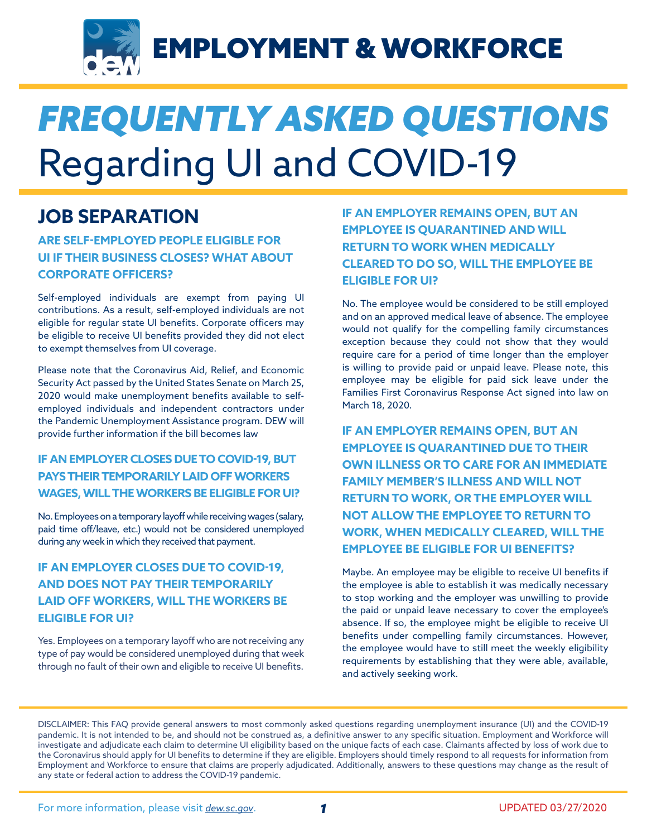

# *FREQUENTLY ASKED QUESTIONS* Regarding UI and COVID-19

## **JOB SEPARATION**

#### **ARE SELF-EMPLOYED PEOPLE ELIGIBLE FOR UI IF THEIR BUSINESS CLOSES? WHAT ABOUT CORPORATE OFFICERS?**

Self-employed individuals are exempt from paying UI contributions. As a result, self-employed individuals are not eligible for regular state UI benefits. Corporate officers may be eligible to receive UI benefits provided they did not elect to exempt themselves from UI coverage.

Please note that the Coronavirus Aid, Relief, and Economic Security Act passed by the United States Senate on March 25, 2020 would make unemployment benefits available to selfemployed individuals and independent contractors under the Pandemic Unemployment Assistance program. DEW will provide further information if the bill becomes law

#### **IF AN EMPLOYER CLOSES DUE TO COVID-19, BUT PAYS THEIR TEMPORARILY LAID OFF WORKERS WAGES, WILL THE WORKERS BE ELIGIBLE FOR UI?**

No. Employees on a temporary layoff while receiving wages (salary, paid time off/leave, etc.) would not be considered unemployed during any week in which they received that payment.

#### **IF AN EMPLOYER CLOSES DUE TO COVID-19, AND DOES NOT PAY THEIR TEMPORARILY LAID OFF WORKERS, WILL THE WORKERS BE ELIGIBLE FOR UI?**

Yes. Employees on a temporary layoff who are not receiving any type of pay would be considered unemployed during that week through no fault of their own and eligible to receive UI benefits.

**IF AN EMPLOYER REMAINS OPEN, BUT AN EMPLOYEE IS QUARANTINED AND WILL RETURN TO WORK WHEN MEDICALLY CLEARED TO DO SO, WILL THE EMPLOYEE BE ELIGIBLE FOR UI?**

No. The employee would be considered to be still employed and on an approved medical leave of absence. The employee would not qualify for the compelling family circumstances exception because they could not show that they would require care for a period of time longer than the employer is willing to provide paid or unpaid leave. Please note, this employee may be eligible for paid sick leave under the Families First Coronavirus Response Act signed into law on March 18, 2020.

**IF AN EMPLOYER REMAINS OPEN, BUT AN EMPLOYEE IS QUARANTINED DUE TO THEIR OWN ILLNESS OR TO CARE FOR AN IMMEDIATE FAMILY MEMBER'S ILLNESS AND WILL NOT RETURN TO WORK, OR THE EMPLOYER WILL NOT ALLOW THE EMPLOYEE TO RETURN TO WORK, WHEN MEDICALLY CLEARED, WILL THE EMPLOYEE BE ELIGIBLE FOR UI BENEFITS?**

Maybe. An employee may be eligible to receive UI benefits if the employee is able to establish it was medically necessary to stop working and the employer was unwilling to provide the paid or unpaid leave necessary to cover the employee's absence. If so, the employee might be eligible to receive UI benefits under compelling family circumstances. However, the employee would have to still meet the weekly eligibility requirements by establishing that they were able, available, and actively seeking work.

DISCLAIMER: This FAQ provide general answers to most commonly asked questions regarding unemployment insurance (UI) and the COVID-19 pandemic. It is not intended to be, and should not be construed as, a definitive answer to any specific situation. Employment and Workforce will investigate and adjudicate each claim to determine UI eligibility based on the unique facts of each case. Claimants affected by loss of work due to the Coronavirus should apply for UI benefits to determine if they are eligible. Employers should timely respond to all requests for information from Employment and Workforce to ensure that claims are properly adjudicated. Additionally, answers to these questions may change as the result of any state or federal action to address the COVID-19 pandemic.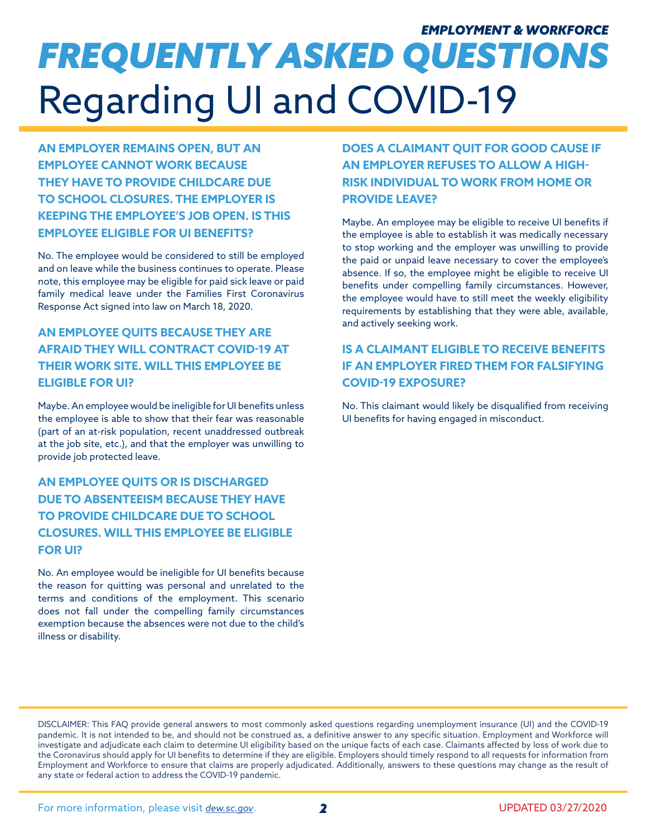## *EMPLOYMENT & WORKFORCE FREQUENTLY ASKED QUESTIONS* Regarding UI and COVID-19

**AN EMPLOYER REMAINS OPEN, BUT AN EMPLOYEE CANNOT WORK BECAUSE THEY HAVE TO PROVIDE CHILDCARE DUE TO SCHOOL CLOSURES. THE EMPLOYER IS KEEPING THE EMPLOYEE'S JOB OPEN. IS THIS EMPLOYEE ELIGIBLE FOR UI BENEFITS?**

No. The employee would be considered to still be employed and on leave while the business continues to operate. Please note, this employee may be eligible for paid sick leave or paid family medical leave under the Families First Coronavirus Response Act signed into law on March 18, 2020.

#### **AN EMPLOYEE QUITS BECAUSE THEY ARE AFRAID THEY WILL CONTRACT COVID-19 AT THEIR WORK SITE. WILL THIS EMPLOYEE BE ELIGIBLE FOR UI?**

Maybe. An employee would be ineligible for UI benefits unless the employee is able to show that their fear was reasonable (part of an at-risk population, recent unaddressed outbreak at the job site, etc.), and that the employer was unwilling to provide job protected leave.

**AN EMPLOYEE QUITS OR IS DISCHARGED DUE TO ABSENTEEISM BECAUSE THEY HAVE TO PROVIDE CHILDCARE DUE TO SCHOOL CLOSURES. WILL THIS EMPLOYEE BE ELIGIBLE FOR UI?**

No. An employee would be ineligible for UI benefits because the reason for quitting was personal and unrelated to the terms and conditions of the employment. This scenario does not fall under the compelling family circumstances exemption because the absences were not due to the child's illness or disability.

**DOES A CLAIMANT QUIT FOR GOOD CAUSE IF AN EMPLOYER REFUSES TO ALLOW A HIGH-RISK INDIVIDUAL TO WORK FROM HOME OR PROVIDE LEAVE?**

Maybe. An employee may be eligible to receive UI benefits if the employee is able to establish it was medically necessary to stop working and the employer was unwilling to provide the paid or unpaid leave necessary to cover the employee's absence. If so, the employee might be eligible to receive UI benefits under compelling family circumstances. However, the employee would have to still meet the weekly eligibility requirements by establishing that they were able, available, and actively seeking work.

#### **IS A CLAIMANT ELIGIBLE TO RECEIVE BENEFITS IF AN EMPLOYER FIRED THEM FOR FALSIFYING COVID-19 EXPOSURE?**

No. This claimant would likely be disqualified from receiving UI benefits for having engaged in misconduct.

DISCLAIMER: This FAQ provide general answers to most commonly asked questions regarding unemployment insurance (UI) and the COVID-19 pandemic. It is not intended to be, and should not be construed as, a definitive answer to any specific situation. Employment and Workforce will investigate and adjudicate each claim to determine UI eligibility based on the unique facts of each case. Claimants affected by loss of work due to the Coronavirus should apply for UI benefits to determine if they are eligible. Employers should timely respond to all requests for information from Employment and Workforce to ensure that claims are properly adjudicated. Additionally, answers to these questions may change as the result of any state or federal action to address the COVID-19 pandemic.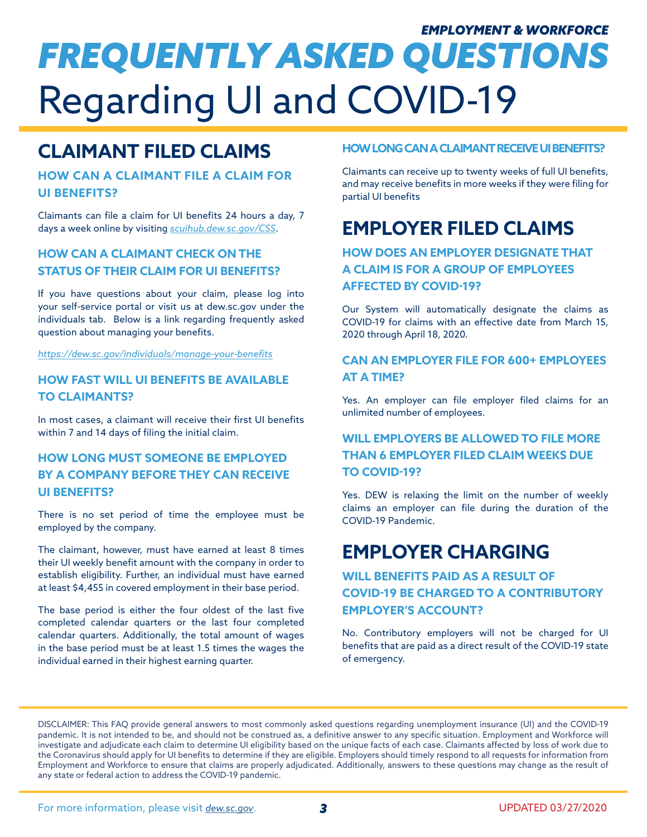## *FREQUENTLY ASKED QUESTIONS* Regarding UI and COVID-19 *EMPLOYMENT & WORKFORCE*

## **CLAIMANT FILED CLAIMS**

#### **HOW CAN A CLAIMANT FILE A CLAIM FOR UI BENEFITS?**

Claimants can file a claim for UI benefits 24 hours a day, 7 days a week online by visiting *[scuihub.dew.sc.gov/CSS](http://scuihub.dew.sc.gov/CSS)*.

#### **HOW CAN A CLAIMANT CHECK ON THE STATUS OF THEIR CLAIM FOR UI BENEFITS?**

If you have questions about your claim, please log into your self-service portal or visit us at dew.sc.gov under the individuals tab. Below is a link regarding frequently asked question about managing your benefits.

*<https://dew.sc.gov/individuals/manage-your-benefits>*

#### **HOW FAST WILL UI BENEFITS BE AVAILABLE TO CLAIMANTS?**

In most cases, a claimant will receive their first UI benefits within 7 and 14 days of filing the initial claim.

#### **HOW LONG MUST SOMEONE BE EMPLOYED BY A COMPANY BEFORE THEY CAN RECEIVE UI BENEFITS?**

There is no set period of time the employee must be employed by the company.

The claimant, however, must have earned at least 8 times their UI weekly benefit amount with the company in order to establish eligibility. Further, an individual must have earned at least \$4,455 in covered employment in their base period.

The base period is either the four oldest of the last five completed calendar quarters or the last four completed calendar quarters. Additionally, the total amount of wages in the base period must be at least 1.5 times the wages the individual earned in their highest earning quarter.

#### **HOW LONG CAN A CLAIMANT RECEIVE UI BENEFITS?**

Claimants can receive up to twenty weeks of full UI benefits, and may receive benefits in more weeks if they were filing for partial UI benefits

## **EMPLOYER FILED CLAIMS**

**HOW DOES AN EMPLOYER DESIGNATE THAT A CLAIM IS FOR A GROUP OF EMPLOYEES AFFECTED BY COVID-19?**

Our System will automatically designate the claims as COVID-19 for claims with an effective date from March 15, 2020 through April 18, 2020.

#### **CAN AN EMPLOYER FILE FOR 600+ EMPLOYEES AT A TIME?**

Yes. An employer can file employer filed claims for an unlimited number of employees.

#### **WILL EMPLOYERS BE ALLOWED TO FILE MORE THAN 6 EMPLOYER FILED CLAIM WEEKS DUE TO COVID-19?**

Yes. DEW is relaxing the limit on the number of weekly claims an employer can file during the duration of the COVID-19 Pandemic.

### **EMPLOYER CHARGING**

**WILL BENEFITS PAID AS A RESULT OF COVID-19 BE CHARGED TO A CONTRIBUTORY EMPLOYER'S ACCOUNT?**

No. Contributory employers will not be charged for UI benefits that are paid as a direct result of the COVID-19 state of emergency.

DISCLAIMER: This FAQ provide general answers to most commonly asked questions regarding unemployment insurance (UI) and the COVID-19 pandemic. It is not intended to be, and should not be construed as, a definitive answer to any specific situation. Employment and Workforce will investigate and adjudicate each claim to determine UI eligibility based on the unique facts of each case. Claimants affected by loss of work due to the Coronavirus should apply for UI benefits to determine if they are eligible. Employers should timely respond to all requests for information from Employment and Workforce to ensure that claims are properly adjudicated. Additionally, answers to these questions may change as the result of any state or federal action to address the COVID-19 pandemic.